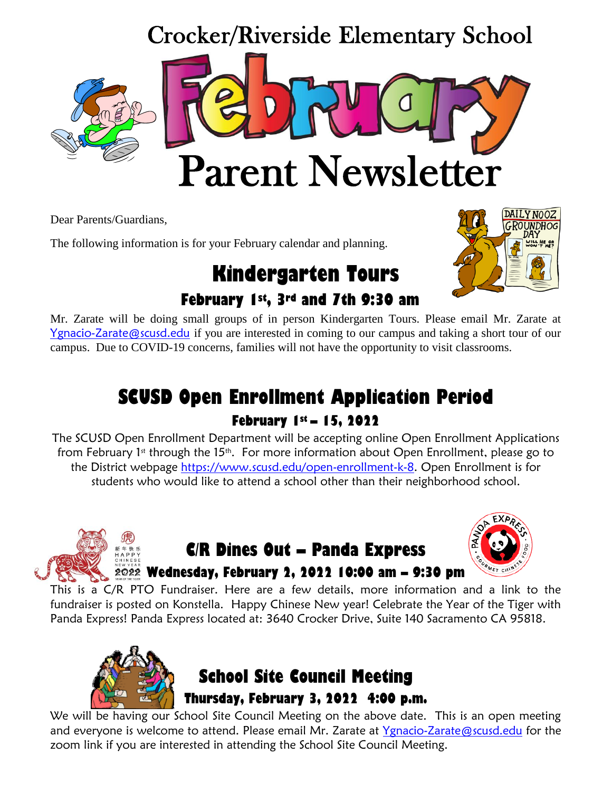# Crocker/Riverside Elementary School Parent Newsletter

Dear Parents/Guardians,

The following information is for your February calendar and planning.

# **Kindergarten Tours February 1st, 3rd and 7th 9:30 am**



Mr. Zarate will be doing small groups of in person Kindergarten Tours. Please email Mr. Zarate at [Ygnacio-Zarate@scusd.edu](mailto:Ygnacio-Zarate@scusd.edu) if you are interested in coming to our campus and taking a short tour of our campus. Due to COVID-19 concerns, families will not have the opportunity to visit classrooms.

# **SCUSD Open Enrollment Application Period February 1st – 15, 2022**

The SCUSD Open Enrollment Department will be accepting online Open Enrollment Applications from February 1<sup>st</sup> through the 15<sup>th</sup>. For more information about Open Enrollment, please go to the District webpage [https://www.scusd.edu/open-enrollment-k-8.](https://www.scusd.edu/open-enrollment-k-8) Open Enrollment is for students who would like to attend a school other than their neighborhood school.



## **C/R Dines Out – Panda Express Wednesday, February 2, 2022 10:00 am – 9:30 pm**



This is a C/R PTO Fundraiser. Here are a few details, more information and a link to the fundraiser is posted on Konstella. Happy Chinese New year! Celebrate the Year of the Tiger with Panda Express! Panda Express located at: 3640 Crocker Drive, Suite 140 Sacramento CA 95818.



# **School Site Council Meeting Thursday, February 3, 2022 4:00 p.m.**

We will be having our School Site Council Meeting on the above date. This is an open meeting and everyone is welcome to attend. Please email Mr. Zarate at [Ygnacio-Zarate@scusd.edu](mailto:Ygnacio-Zarate@scusd.edu) for the zoom link if you are interested in attending the School Site Council Meeting.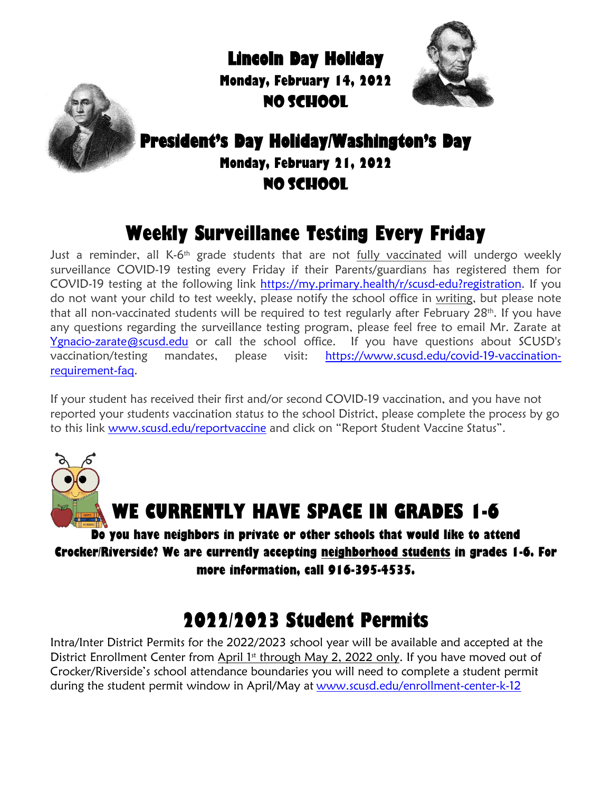**Lincoln Day Holiday** 

**Monday, February 14, 2022** NO SCHOOL





#### **President's Day Holiday/Washington's Day Monday, February 21, 2022** NO SCHOOL

# **Weekly Surveillance Testing Every Friday**

Just a reminder, all K-6<sup>th</sup> grade students that are not <u>fully vaccinated</u> will undergo weekly surveillance COVID-19 testing every Friday if their Parents/guardians has registered them for COVID-19 testing at the following link [https://my.primary.health/r/scusd-edu?registration.](https://my.primary.health/r/scusd-edu?registration) If you do not want your child to test weekly, please notify the school office in writing, but please note that all non-vaccinated students will be required to test regularly after February 28<sup>th</sup>. If you have any questions regarding the surveillance testing program, please feel free to email Mr. Zarate at [Ygnacio-zarate@scusd.edu](mailto:Ygnacio-zarate@scusd.edu) or call the school office. If you have questions about SCUSD's vaccination/testing mandates, please visit: [https://www.scusd.edu/covid-19-vaccination](https://www.scusd.edu/covid-19-vaccination-requirement-faq)[requirement-faq.](https://www.scusd.edu/covid-19-vaccination-requirement-faq)

If your student has received their first and/or second COVID-19 vaccination, and you have not reported your students vaccination status to the school District, please complete the process by go to this link [www.scusd.edu/reportvaccine](http://www.scusd.edu/reportvaccine) and click on "Report Student Vaccine Status".

# **WE CURRENTLY HAVE SPACE IN GRADES 1-6**

**Do you have neighbors in private or other schools that would like to attend Crocker/Riverside? We are currently accepting neighborhood students in grades 1-6. For more information, call 916-395-4535.**

# **2022/2023 Student Permits**

Intra/Inter District Permits for the 2022/2023 school year will be available and accepted at the District Enrollment Center from April 1st through May 2, 2022 only. If you have moved out of Crocker/Riverside's school attendance boundaries you will need to complete a student permit during the student permit window in April/May at [www.scusd.edu/enrollment-center-k-12](http://www.scusd.edu/enrollment-center-k-12)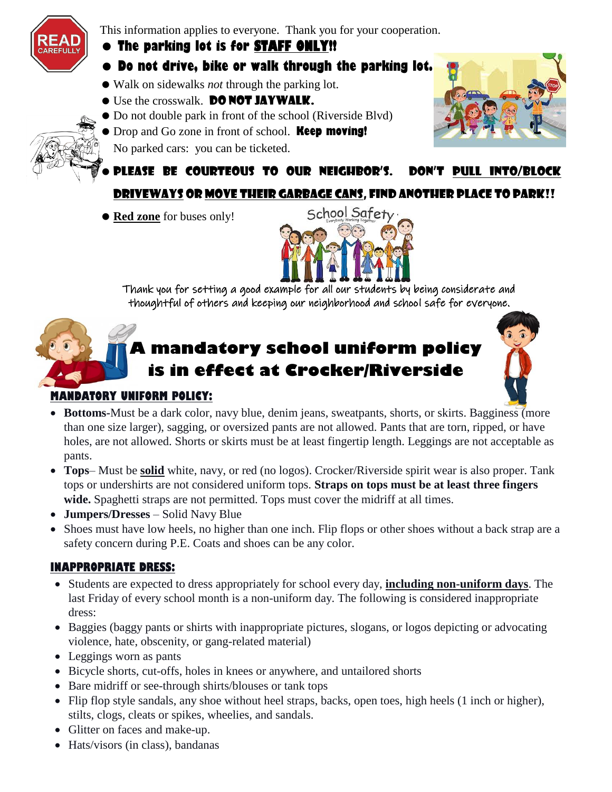

This information applies to everyone. Thank you for your cooperation.

#### **The parking lot is for STAFF ONLY!!**

- **Do not drive, bike or walk through the parking lot.**
- Walk on sidewalks *not* through the parking lot.
- **Use the crosswalk. DO NOT JAYWALK.**
- Do not double park in front of the school (Riverside Blvd)
- Drop and Go zone in front of school. **Keep moving!**
- No parked cars: you can be ticketed.



Please be courteous to our neighbor's. Don't pull into/block driveways or move their garbage cans, find another place to park!!

**• Red zone** for buses only!



Thank you for setting a good example for all our students by being considerate and thoughtful of others and keeping our neighborhood and school safe for everyone.

## **A mandatory school uniform policy is in effect at Crocker/Riverside**



#### **MANDATORY UNIFORM POLICY:**

- **Bottoms-**Must be a dark color, navy blue, denim jeans, sweatpants, shorts, or skirts. Bagginess (more than one size larger), sagging, or oversized pants are not allowed. Pants that are torn, ripped, or have holes, are not allowed. Shorts or skirts must be at least fingertip length. Leggings are not acceptable as pants.
- **Tops** Must be **solid** white, navy, or red (no logos). Crocker/Riverside spirit wear is also proper. Tank tops or undershirts are not considered uniform tops. **Straps on tops must be at least three fingers wide.** Spaghetti straps are not permitted. Tops must cover the midriff at all times.
- **Jumpers/Dresses**  Solid Navy Blue
- Shoes must have low heels, no higher than one inch. Flip flops or other shoes without a back strap are a safety concern during P.E. Coats and shoes can be any color.

#### **INAPPROPRIATE DRESS:**

- Students are expected to dress appropriately for school every day, **including non-uniform days**. The last Friday of every school month is a non-uniform day. The following is considered inappropriate dress:
- Baggies (baggy pants or shirts with inappropriate pictures, slogans, or logos depicting or advocating violence, hate, obscenity, or gang-related material)
- Leggings worn as pants
- Bicycle shorts, cut-offs, holes in knees or anywhere, and untailored shorts
- Bare midriff or see-through shirts/blouses or tank tops
- Flip flop style sandals, any shoe without heel straps, backs, open toes, high heels (1 inch or higher), stilts, clogs, cleats or spikes, wheelies, and sandals.
- Glitter on faces and make-up.
- Hats/visors (in class), bandanas